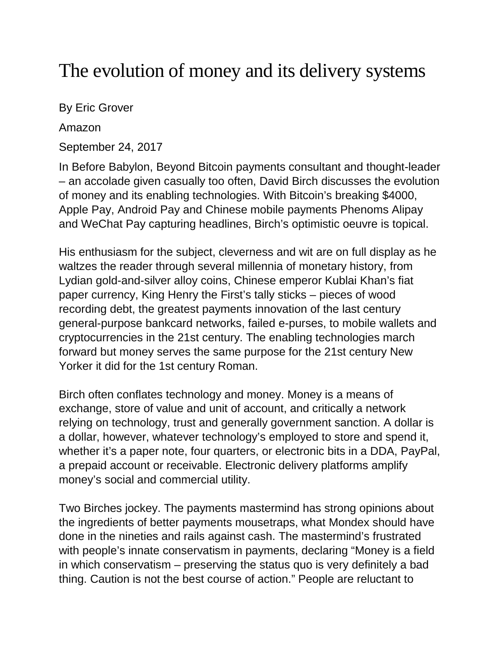## The evolution of money and its delivery systems

By Eric Grover

Amazon

September 24, 2017

In Before Babylon, Beyond Bitcoin payments consultant and thought-leader – an accolade given casually too often, David Birch discusses the evolution of money and its enabling technologies. With Bitcoin's breaking \$4000, Apple Pay, Android Pay and Chinese mobile payments Phenoms Alipay and WeChat Pay capturing headlines, Birch's optimistic oeuvre is topical.

His enthusiasm for the subject, cleverness and wit are on full display as he waltzes the reader through several millennia of monetary history, from Lydian gold-and-silver alloy coins, Chinese emperor Kublai Khan's fiat paper currency, King Henry the First's tally sticks – pieces of wood recording debt, the greatest payments innovation of the last century general-purpose bankcard networks, failed e-purses, to mobile wallets and cryptocurrencies in the 21st century. The enabling technologies march forward but money serves the same purpose for the 21st century New Yorker it did for the 1st century Roman.

Birch often conflates technology and money. Money is a means of exchange, store of value and unit of account, and critically a network relying on technology, trust and generally government sanction. A dollar is a dollar, however, whatever technology's employed to store and spend it, whether it's a paper note, four quarters, or electronic bits in a DDA, PayPal, a prepaid account or receivable. Electronic delivery platforms amplify money's social and commercial utility.

Two Birches jockey. The payments mastermind has strong opinions about the ingredients of better payments mousetraps, what Mondex should have done in the nineties and rails against cash. The mastermind's frustrated with people's innate conservatism in payments, declaring "Money is a field in which conservatism – preserving the status quo is very definitely a bad thing. Caution is not the best course of action." People are reluctant to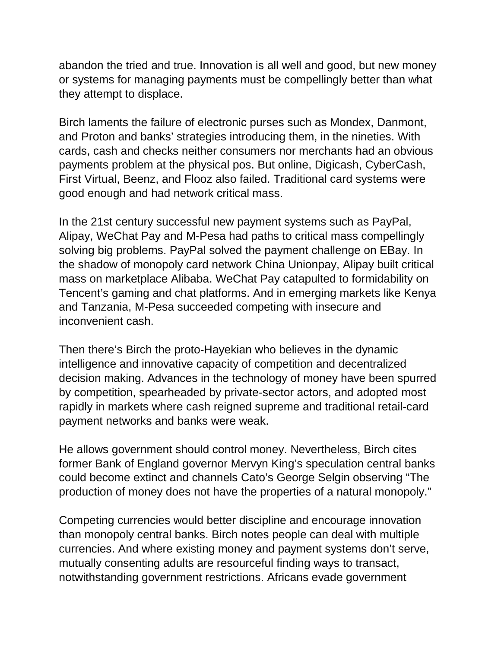abandon the tried and true. Innovation is all well and good, but new money or systems for managing payments must be compellingly better than what they attempt to displace.

Birch laments the failure of electronic purses such as Mondex, Danmont, and Proton and banks' strategies introducing them, in the nineties. With cards, cash and checks neither consumers nor merchants had an obvious payments problem at the physical pos. But online, Digicash, CyberCash, First Virtual, Beenz, and Flooz also failed. Traditional card systems were good enough and had network critical mass.

In the 21st century successful new payment systems such as PayPal, Alipay, WeChat Pay and M-Pesa had paths to critical mass compellingly solving big problems. PayPal solved the payment challenge on EBay. In the shadow of monopoly card network China Unionpay, Alipay built critical mass on marketplace Alibaba. WeChat Pay catapulted to formidability on Tencent's gaming and chat platforms. And in emerging markets like Kenya and Tanzania, M-Pesa succeeded competing with insecure and inconvenient cash.

Then there's Birch the proto-Hayekian who believes in the dynamic intelligence and innovative capacity of competition and decentralized decision making. Advances in the technology of money have been spurred by competition, spearheaded by private-sector actors, and adopted most rapidly in markets where cash reigned supreme and traditional retail-card payment networks and banks were weak.

He allows government should control money. Nevertheless, Birch cites former Bank of England governor Mervyn King's speculation central banks could become extinct and channels Cato's George Selgin observing "The production of money does not have the properties of a natural monopoly."

Competing currencies would better discipline and encourage innovation than monopoly central banks. Birch notes people can deal with multiple currencies. And where existing money and payment systems don't serve, mutually consenting adults are resourceful finding ways to transact, notwithstanding government restrictions. Africans evade government